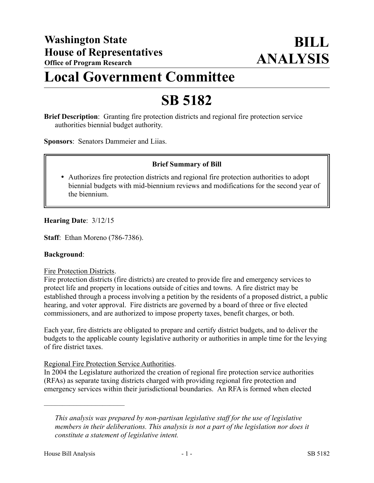# **Local Government Committee**

## **SB 5182**

**Brief Description**: Granting fire protection districts and regional fire protection service authorities biennial budget authority.

**Sponsors**: Senators Dammeier and Liias.

### **Brief Summary of Bill**

 Authorizes fire protection districts and regional fire protection authorities to adopt biennial budgets with mid-biennium reviews and modifications for the second year of the biennium.

#### **Hearing Date**: 3/12/15

**Staff**: Ethan Moreno (786-7386).

#### **Background**:

#### Fire Protection Districts.

Fire protection districts (fire districts) are created to provide fire and emergency services to protect life and property in locations outside of cities and towns. A fire district may be established through a process involving a petition by the residents of a proposed district, a public hearing, and voter approval. Fire districts are governed by a board of three or five elected commissioners, and are authorized to impose property taxes, benefit charges, or both.

Each year, fire districts are obligated to prepare and certify district budgets, and to deliver the budgets to the applicable county legislative authority or authorities in ample time for the levying of fire district taxes.

### Regional Fire Protection Service Authorities.

In 2004 the Legislature authorized the creation of regional fire protection service authorities (RFAs) as separate taxing districts charged with providing regional fire protection and emergency services within their jurisdictional boundaries. An RFA is formed when elected

––––––––––––––––––––––

*This analysis was prepared by non-partisan legislative staff for the use of legislative members in their deliberations. This analysis is not a part of the legislation nor does it constitute a statement of legislative intent.*